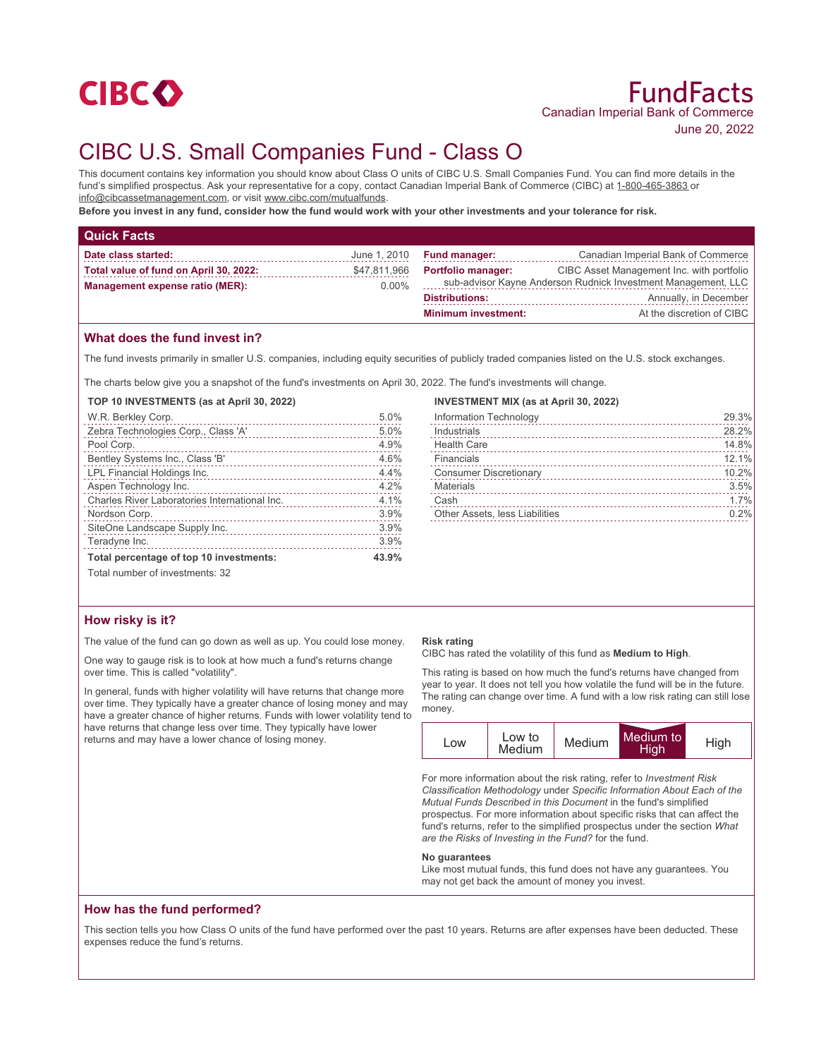

# CIBC U.S. Small Companies Fund - Class O

This document contains key information you should know about Class O units of CIBC U.S. Small Companies Fund. You can find more details in the fund's simplified prospectus. Ask your representative for a copy, contact Canadian Imperial Bank of Commerce (CIBC) at 1-800-465-3863 or info@cibcassetmanagement.com, or visit www.cibc.com/mutualfunds.

**Before you invest in any fund, consider how the fund would work with your other investments and your tolerance for risk.**

| <b>Quick Facts</b>                     |              |                            |                                                               |
|----------------------------------------|--------------|----------------------------|---------------------------------------------------------------|
| Date class started:                    | June 1, 2010 | <b>Fund manager:</b>       | Canadian Imperial Bank of Commerce                            |
| Total value of fund on April 30, 2022: | \$47,811,966 | <b>Portfolio manager:</b>  | CIBC Asset Management Inc. with portfolio                     |
| Management expense ratio (MER):        | $0.00\%$     |                            | sub-advisor Kayne Anderson Rudnick Investment Management, LLC |
|                                        |              | <b>Distributions:</b>      | Annually, in December                                         |
|                                        |              | <b>Minimum investment:</b> | At the discretion of CIBC                                     |

## **What does the fund invest in?**

The fund invests primarily in smaller U.S. companies, including equity securities of publicly traded companies listed on the U.S. stock exchanges.

The charts below give you a snapshot of the fund's investments on April 30, 2022. The fund's investments will change.

**TOP 10 INVESTMENTS (as at April 30, 2022)**

| W.R. Berkley Corp.                            | 5.0%  |
|-----------------------------------------------|-------|
| Zebra Technologies Corp., Class 'A'           | 5.0%  |
| Pool Corp.                                    | 4.9%  |
| Bentley Systems Inc., Class 'B'               | 4.6%  |
| LPL Financial Holdings Inc.                   | 4.4%  |
| Aspen Technology Inc.                         | 4.2%  |
| Charles River Laboratories International Inc. | 4.1%  |
| Nordson Corp.                                 | 3.9%  |
| SiteOne Landscape Supply Inc.                 | 3.9%  |
| Teradyne Inc.                                 | 3.9%  |
| Total percentage of top 10 investments:       | 43.9% |
| Total number of investments: 32               |       |

## **INVESTMENT MIX (as at April 30, 2022)**

| Information Technology         | 29.3% |
|--------------------------------|-------|
| Industrials                    | 28.2% |
| <b>Health Care</b>             | 14.8% |
| Financials                     | 12.1% |
| <b>Consumer Discretionary</b>  | 10.2% |
| <b>Materials</b>               | 3.5%  |
| Cash                           | 1.7%  |
| Other Assets, less Liabilities | 0.2%  |
|                                |       |

## **How risky is it?**

The value of the fund can go down as well as up. You could lose money.

One way to gauge risk is to look at how much a fund's returns change over time. This is called "volatility".

In general, funds with higher volatility will have returns that change more over time. They typically have a greater chance of losing money and may have a greater chance of higher returns. Funds with lower volatility tend to have returns that change less over time. They typically have lower returns and may have a lower chance of losing money.

#### **Risk rating**

CIBC has rated the volatility of this fund as **Medium to High**.

This rating is based on how much the fund's returns have changed from year to year. It does not tell you how volatile the fund will be in the future. The rating can change over time. A fund with a low risk rating can still lose money.

| ∟OW | Low to<br>Medium | Medium | Medium to<br>High | High |
|-----|------------------|--------|-------------------|------|
|-----|------------------|--------|-------------------|------|

For more information about the risk rating, refer to *Investment Risk Classification Methodology* under *Specific Information About Each of the Mutual Funds Described in this Document* in the fund's simplified prospectus. For more information about specific risks that can affect the fund's returns, refer to the simplified prospectus under the section *What are the Risks of Investing in the Fund?* for the fund.

#### **No guarantees**

Like most mutual funds, this fund does not have any guarantees. You may not get back the amount of money you invest.

## **How has the fund performed?**

This section tells you how Class O units of the fund have performed over the past 10 years. Returns are after expenses have been deducted. These expenses reduce the fund's returns.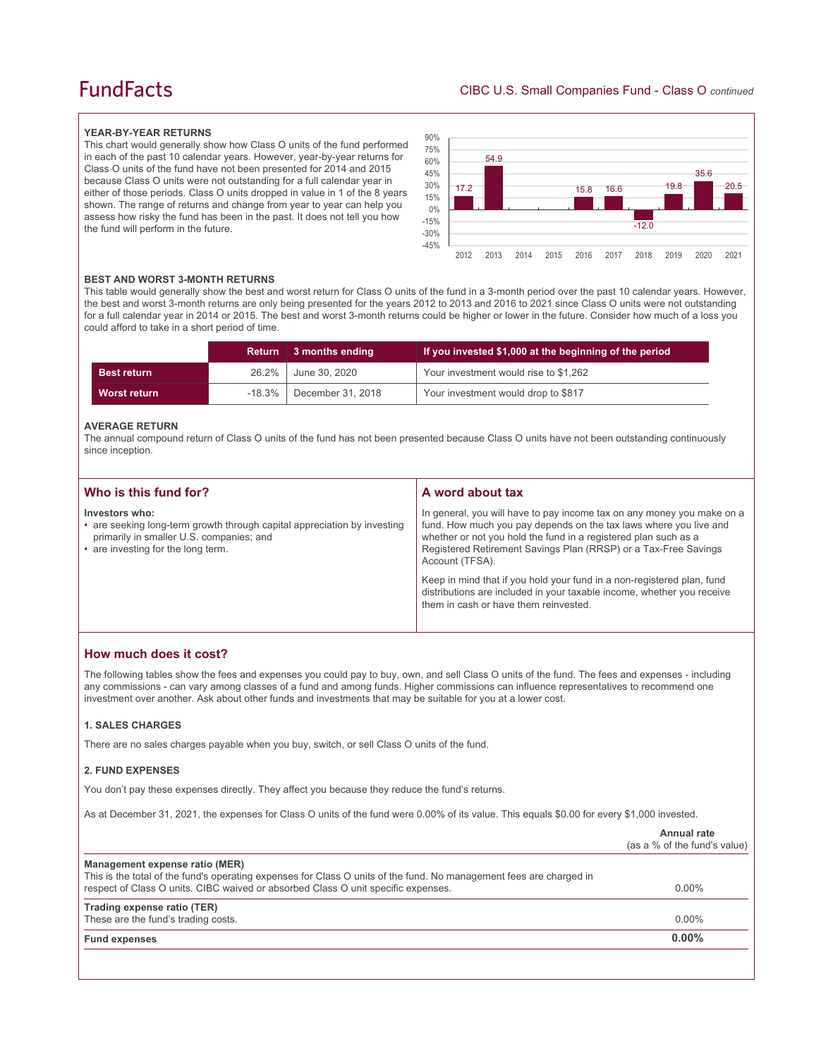## **FundFacts**

#### **YEAR-BY-YEAR RETURNS**

This chart would generally show how Class O units of the fund performed in each of the past 10 calendar years. However, year-by-year returns for Class O units of the fund have not been presented for 2014 and 2015 because Class O units were not outstanding for a full calendar year in either of those periods. Class O units dropped in value in 1 of the 8 years shown. The range of returns and change from year to year can help you assess how risky the fund has been in the past. It does not tell you how the fund will perform in the future.



#### **BEST AND WORST 3-MONTH RETURNS**

This table would generally show the best and worst return for Class O units of the fund in a 3-month period over the past 10 calendar years. However, the best and worst 3-month returns are only being presented for the years 2012 to 2013 and 2016 to 2021 since Class O units were not outstanding for a full calendar year in 2014 or 2015. The best and worst 3-month returns could be higher or lower in the future. Consider how much of a loss you could afford to take in a short period of time.

|                     | <b>Return</b> | 3 months ending             | If you invested \$1,000 at the beginning of the period |
|---------------------|---------------|-----------------------------|--------------------------------------------------------|
| <b>Best return</b>  | $26.2\%$      | June 30, 2020               | Your investment would rise to \$1,262                  |
| <b>Worst return</b> |               | $-18.3\%$ December 31, 2018 | Your investment would drop to \$817                    |

#### **AVERAGE RETURN**

The annual compound return of Class O units of the fund has not been presented because Class O units have not been outstanding continuously since inception.

| Who is this fund for?                                                                                                                                                        | A word about tax                                                                                                                                                                                                                                                                                     |
|------------------------------------------------------------------------------------------------------------------------------------------------------------------------------|------------------------------------------------------------------------------------------------------------------------------------------------------------------------------------------------------------------------------------------------------------------------------------------------------|
| Investors who:<br>• are seeking long-term growth through capital appreciation by investing<br>primarily in smaller U.S. companies; and<br>• are investing for the long term. | In general, you will have to pay income tax on any money you make on a<br>fund. How much you pay depends on the tax laws where you live and<br>whether or not you hold the fund in a registered plan such as a<br>Registered Retirement Savings Plan (RRSP) or a Tax-Free Savings<br>Account (TFSA). |
|                                                                                                                                                                              | Keep in mind that if you hold your fund in a non-registered plan, fund<br>distributions are included in your taxable income, whether you receive<br>them in cash or have them reinvested.                                                                                                            |

## **How much does it cost?**

The following tables show the fees and expenses you could pay to buy, own, and sell Class O units of the fund. The fees and expenses - including any commissions - can vary among classes of a fund and among funds. Higher commissions can influence representatives to recommend one investment over another. Ask about other funds and investments that may be suitable for you at a lower cost.

## **1. SALES CHARGES**

There are no sales charges payable when you buy, switch, or sell Class O units of the fund.

### **2. FUND EXPENSES**

You don't pay these expenses directly. They affect you because they reduce the fund's returns.

As at December 31, 2021, the expenses for Class O units of the fund were 0.00% of its value. This equals \$0.00 for every \$1,000 invested.

|                                                                                                                                                                                                                                            | Annual rate<br>(as a % of the fund's value) |
|--------------------------------------------------------------------------------------------------------------------------------------------------------------------------------------------------------------------------------------------|---------------------------------------------|
| Management expense ratio (MER)<br>This is the total of the fund's operating expenses for Class O units of the fund. No management fees are charged in<br>respect of Class O units. CIBC waived or absorbed Class O unit specific expenses. | $0.00\%$                                    |
| Trading expense ratio (TER)<br>These are the fund's trading costs.                                                                                                                                                                         | $0.00\%$                                    |
| <b>Fund expenses</b>                                                                                                                                                                                                                       | $0.00\%$                                    |